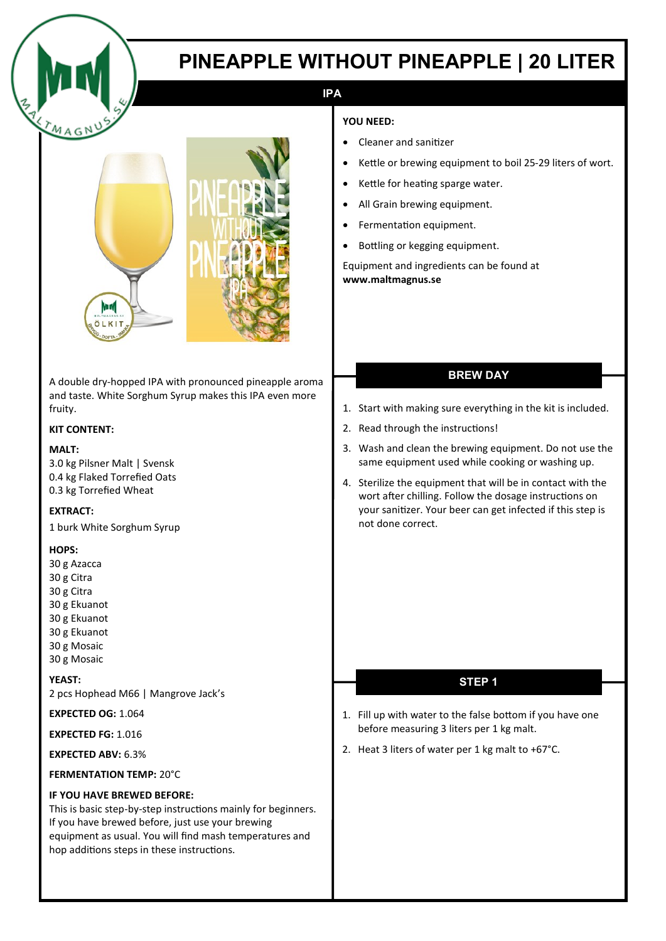

# **PINEAPPLE WITHOUT PINEAPPLE | 20 LITER**

## **IPA**

#### **YOU NEED:**

- Cleaner and sanitizer
- Kettle or brewing equipment to boil 25-29 liters of wort.
- Kettle for heating sparge water.
- All Grain brewing equipment.
- Fermentation equipment.
- Bottling or kegging equipment.

Equipment and ingredients can be found at **www.maltmagnus.se** 

## **BREW DAY**

- 1. Start with making sure everything in the kit is included.
- 2. Read through the instructions!
- 3. Wash and clean the brewing equipment. Do not use the same equipment used while cooking or washing up.
- 4. Sterilize the equipment that will be in contact with the wort after chilling. Follow the dosage instructions on your sanitizer. Your beer can get infected if this step is not done correct.

### **STEP 1**

- 1. Fill up with water to the false bottom if you have one before measuring 3 liters per 1 kg malt.
- 2. Heat 3 liters of water per 1 kg malt to +67°C.

A double dry-hopped IPA with pronounced pineapple aroma and taste. White Sorghum Syrup makes this IPA even more fruity.

#### **KIT CONTENT:**

#### **MALT:**

3.0 kg Pilsner Malt | Svensk 0.4 kg Flaked Torrefied Oats 0.3 kg Torrefied Wheat

#### **EXTRACT:**

1 burk White Sorghum Syrup

#### **HOPS:**

30 g Azacca 30 g Citra 30 g Citra 30 g Ekuanot 30 g Ekuanot 30 g Ekuanot 30 g Mosaic 30 g Mosaic

#### **YEAST:**

2 pcs Hophead M66 | Mangrove Jack's

**EXPECTED OG:** 1.064

**EXPECTED FG:** 1.016

**EXPECTED ABV:** 6.3%

#### **FERMENTATION TEMP:** 20°C

#### **IF YOU HAVE BREWED BEFORE:**

This is basic step-by-step instructions mainly for beginners. If you have brewed before, just use your brewing equipment as usual. You will find mash temperatures and hop additions steps in these instructions.